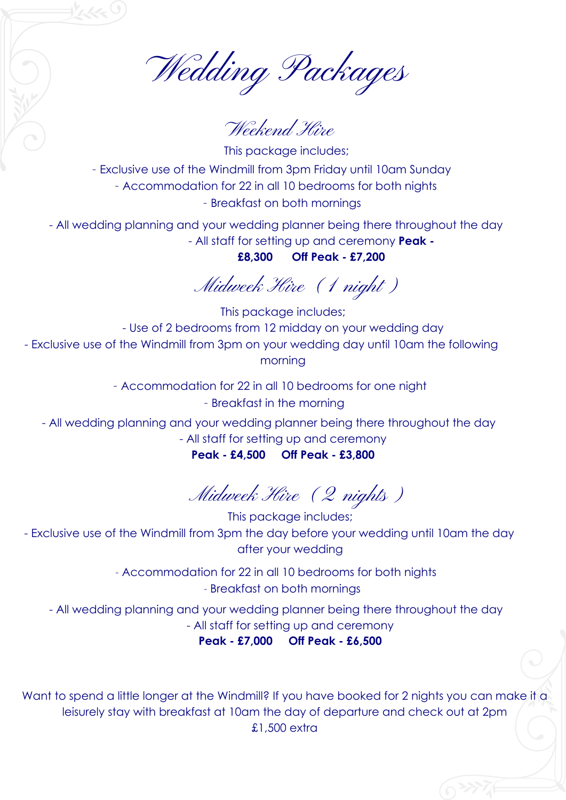Wedding Packages

Weekend Hire

This package includes; - Exclusive use of the Windmill from 3pm Friday until 10am Sunday - Accommodation for 22 in all 10 bedrooms for both nights - Breakfast on both mornings

- All wedding planning and your wedding planner being there throughout the day - All staff for setting up and ceremony **Peak -** 

**£8,300 Off Peak - £7,200**

Midweek Hire (1 night)

This package includes; - Use of 2 bedrooms from 12 midday on your wedding day - Exclusive use of the Windmill from 3pm on your wedding day until 10am the following morning

- Accommodation for 22 in all 10 bedrooms for one night

- Breakfast in the morning

- All wedding planning and your wedding planner being there throughout the day

- All staff for setting up and ceremony

**Peak - £4,500 Off Peak - £3,800**

Midweek Hire (2 nights)

This package includes; - Exclusive use of the Windmill from 3pm the day before your wedding until 10am the day after your wedding

> - Accommodation for 22 in all 10 bedrooms for both nights - Breakfast on both mornings

- All wedding planning and your wedding planner being there throughout the day - All staff for setting up and ceremony

**Peak - £7,000 Off Peak - £6,500**

Want to spend a little longer at the Windmill? If you have booked for 2 nights you can make it a leisurely stay with breakfast at 10am the day of departure and check out at 2pm £1,500 extra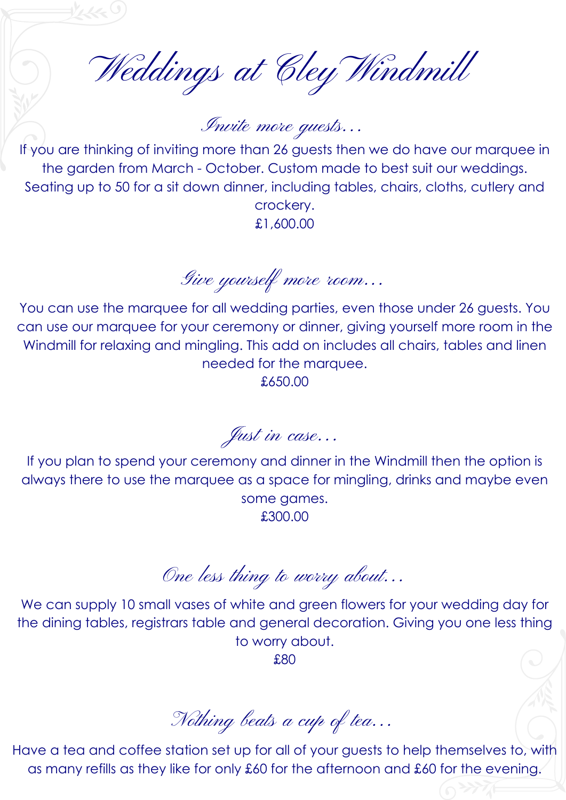Weddings at Cley Windmill

Invite more guests... If you are thinking of inviting more than 26 guests then we do have our marquee in

the garden from March - October. Custom made to best suit our weddings. Seating up to 50 for a sit down dinner, including tables, chairs, cloths, cutlery and crockery. £1,600.00

Give yourself more room...

You can use the marquee for all wedding parties, even those under 26 guests. You can use our marquee for your ceremony or dinner, giving yourself more room in the Windmill for relaxing and mingling. This add on includes all chairs, tables and linen needed for the marquee. £650.00

Just in case...

If you plan to spend your ceremony and dinner in the Windmill then the option is always there to use the marquee as a space for mingling, drinks and maybe even some games. £300.00

One less thing to worry about...

We can supply 10 small vases of white and green flowers for your wedding day for the dining tables, registrars table and general decoration. Giving you one less thing to worry about.

£80

Nothing beats a cup of tea...

Have a tea and coffee station set up for all of your guests to help themselves to, with as many refills as they like for only £60 for the afternoon and £60 for the evening.